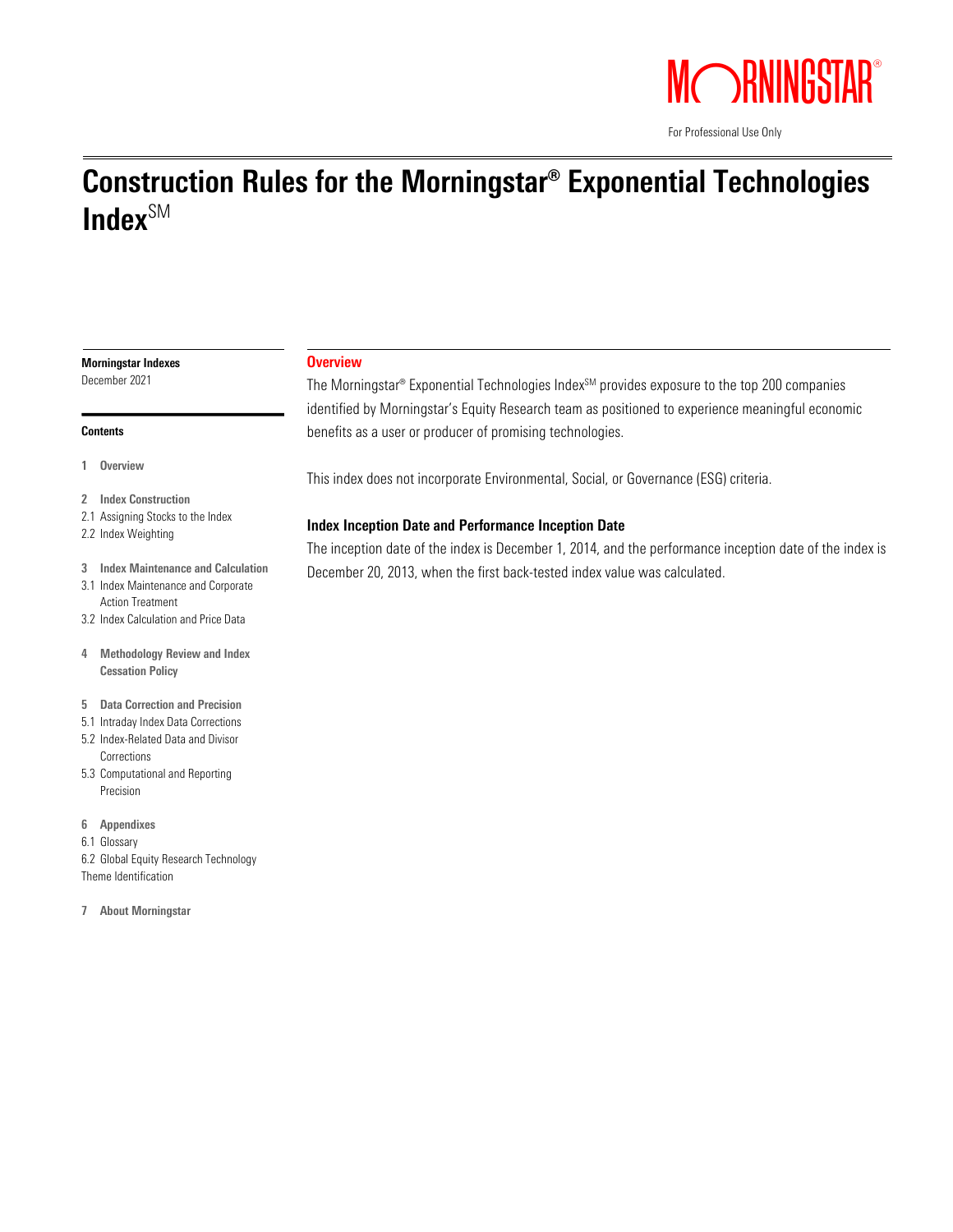

For Professional Use Only

# Construction Rules for the Morningstar® Exponential Technologies Index $\mathsf{S}^{\mathsf{SM}}$

# Morningstar Indexes

December 2021

#### **Contents**

- 1 Overview
- 2 Index Construction
- 2.1 Assigning Stocks to the Index
- 2.2 Index Weighting
- 3 Index Maintenance and Calculation
- 3.1 Index Maintenance and Corporate Action Treatment
- 3.2 Index Calculation and Price Data
- 4 Methodology Review and Index Cessation Policy
- 5 Data Correction and Precision
- 5.1 Intraday Index Data Corrections
- 5.2 Index-Related Data and Divisor **Corrections**
- 5.3 Computational and Reporting Precision
- 6 Appendixes
- 6.1 Glossary
- 6.2 Global Equity Research Technology Theme Identification
- 7 About Morningstar

# **Overview**

The Morningstar® Exponential Technologies Index<sup>SM</sup> provides exposure to the top 200 companies identified by Morningstar's Equity Research team as positioned to experience meaningful economic benefits as a user or producer of promising technologies.

This index does not incorporate Environmental, Social, or Governance (ESG) criteria.

# Index Inception Date and Performance Inception Date

The inception date of the index is December 1, 2014, and the performance inception date of the index is December 20, 2013, when the first back-tested index value was calculated.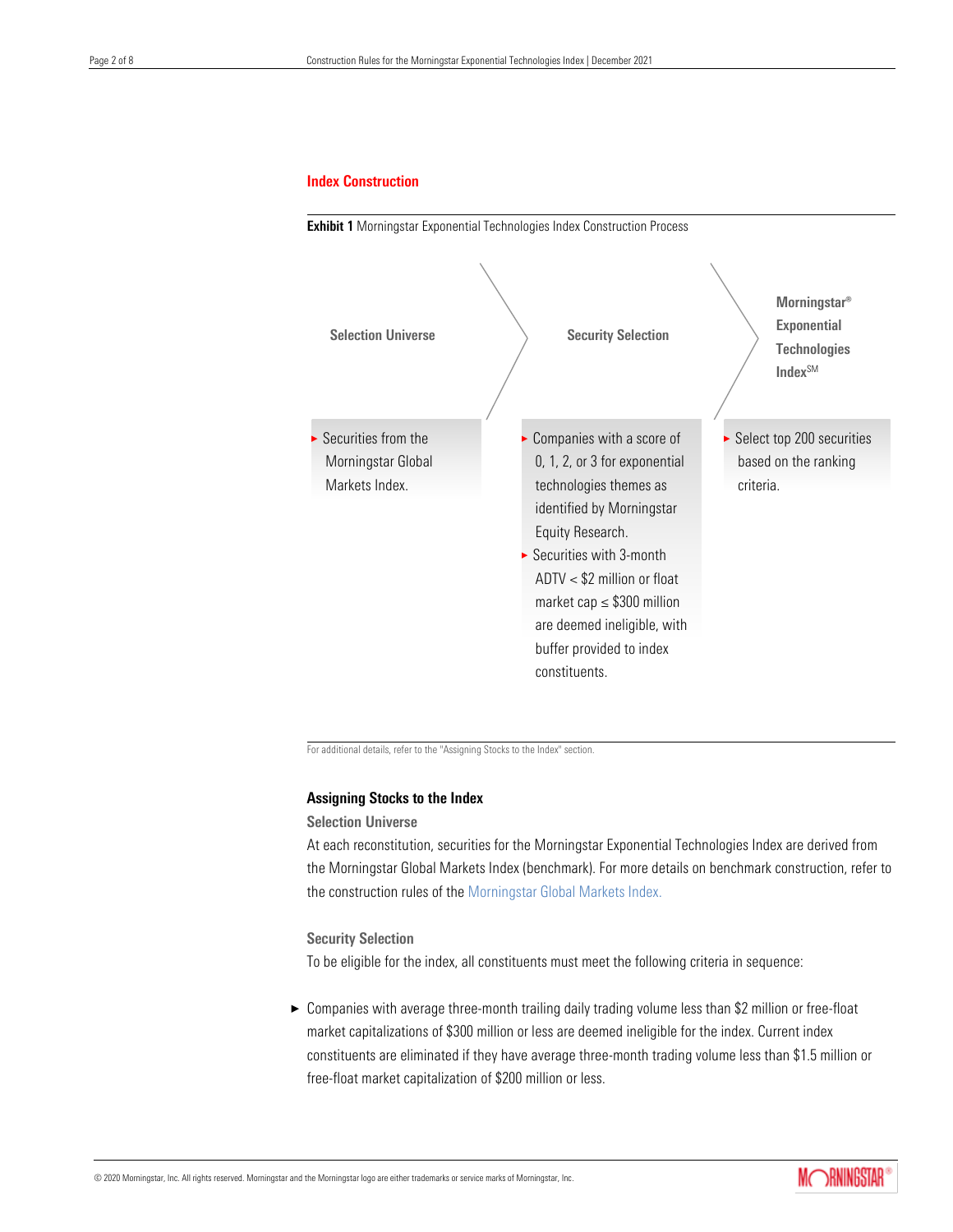# Index Construction



For additional details, refer to the "Assigning Stocks to the Index" section.

# Assigning Stocks to the Index

# Selection Universe

At each reconstitution, securities for the Morningstar Exponential Technologies Index are derived from the Morningstar Global Markets Index (benchmark). For more details on benchmark construction, refer to the construction rules of th[e Morningstar Global Markets Index.](https://indexes.morningstar.com/resources/PDF/upload/Morningstar_Global_Markets_Index_Final.pdf)

## Security Selection

To be eligible for the index, all constituents must meet the following criteria in sequence:

▶ Companies with average three-month trailing daily trading volume less than \$2 million or free-float market capitalizations of \$300 million or less are deemed ineligible for the index. Current index constituents are eliminated if they have average three-month trading volume less than \$1.5 million or free-float market capitalization of \$200 million or less.

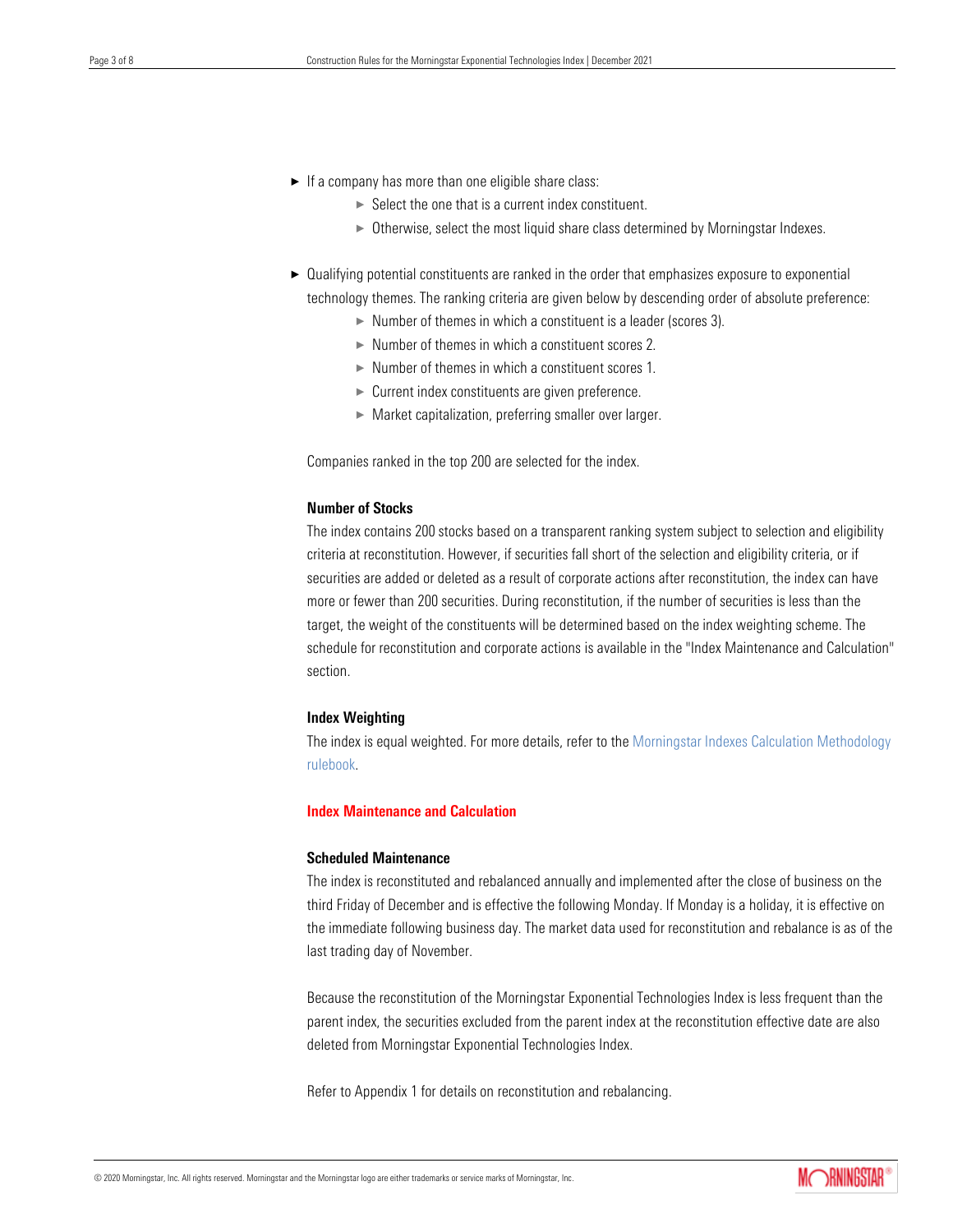- $\blacktriangleright$  If a company has more than one eligible share class:
	- $\triangleright$  Select the one that is a current index constituent.
	- $\triangleright$  Otherwise, select the most liquid share class determined by Morningstar Indexes.
- $\triangleright$  Qualifying potential constituents are ranked in the order that emphasizes exposure to exponential technology themes. The ranking criteria are given below by descending order of absolute preference:
	- $\triangleright$  Number of themes in which a constituent is a leader (scores 3).
	- $\triangleright$  Number of themes in which a constituent scores 2.
	- $\triangleright$  Number of themes in which a constituent scores 1.
	- $\blacktriangleright$  Current index constituents are given preference.
	- $\blacktriangleright$  Market capitalization, preferring smaller over larger.

Companies ranked in the top 200 are selected for the index.

# Number of Stocks

The index contains 200 stocks based on a transparent ranking system subject to selection and eligibility criteria at reconstitution. However, if securities fall short of the selection and eligibility criteria, or if securities are added or deleted as a result of corporate actions after reconstitution, the index can have more or fewer than 200 securities. During reconstitution, if the number of securities is less than the target, the weight of the constituents will be determined based on the index weighting scheme. The schedule for reconstitution and corporate actions is available in the "Index Maintenance and Calculation" section.

## Index Weighting

The index is equal weighted. For more details, refer to th[e Morningstar Indexes Calculation Methodology](https://indexes.morningstar.com/resources/PDF/upload/Morningstar_Indexes_Calculation_Methodology.pdf)  [rulebook.](https://indexes.morningstar.com/resources/PDF/upload/Morningstar_Indexes_Calculation_Methodology.pdf)

# Index Maintenance and Calculation

## Scheduled Maintenance

The index is reconstituted and rebalanced annually and implemented after the close of business on the third Friday of December and is effective the following Monday. If Monday is a holiday, it is effective on the immediate following business day. The market data used for reconstitution and rebalance is as of the last trading day of November.

Because the reconstitution of the Morningstar Exponential Technologies Index is less frequent than the parent index, the securities excluded from the parent index at the reconstitution effective date are also deleted from Morningstar Exponential Technologies Index.

Refer to Appendix 1 for details on reconstitution and rebalancing.

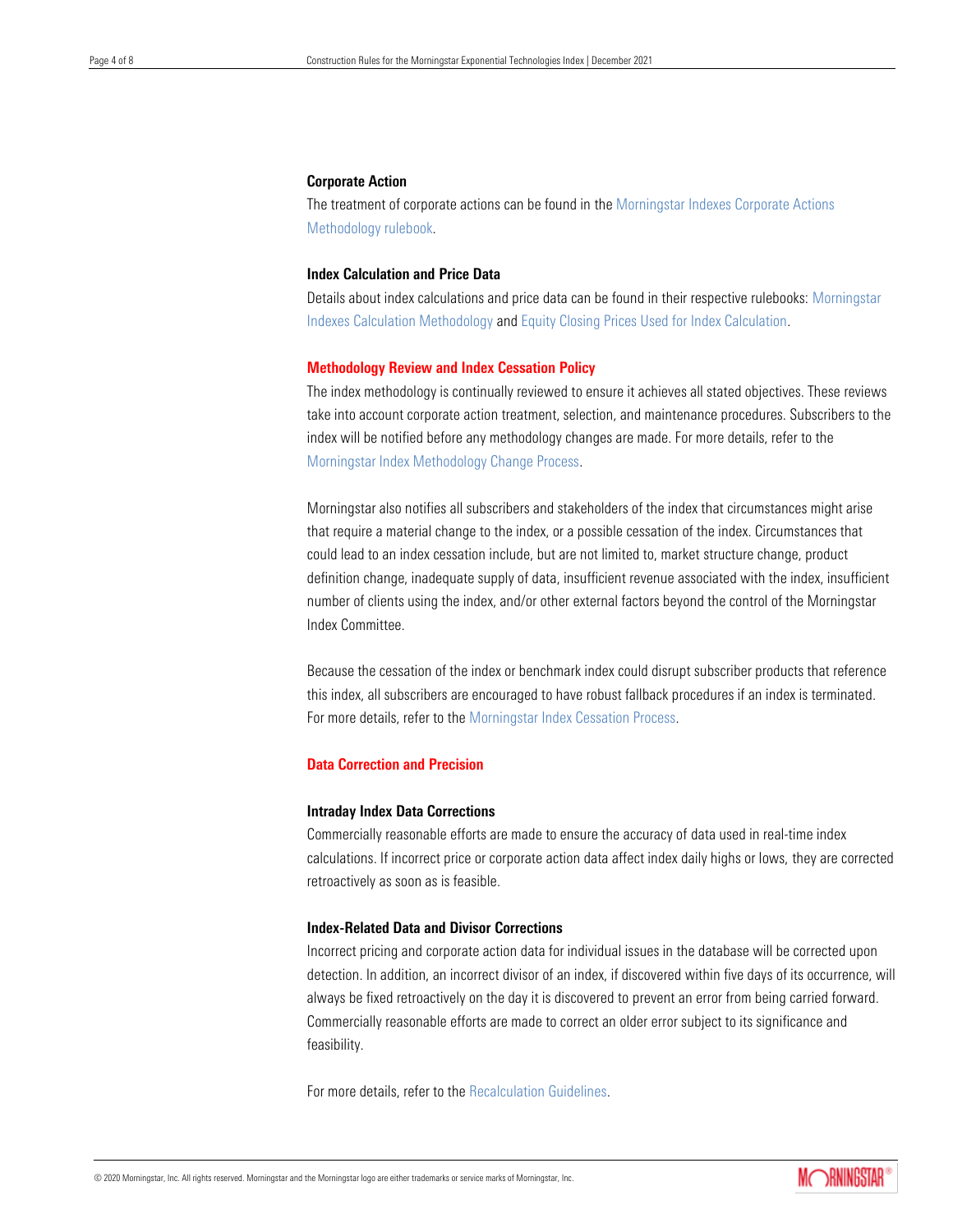## Corporate Action

The treatment of corporate actions can be found in the [Morningstar Indexes Corporate Actions](https://indexes.morningstar.com/resources/PDF/upload/Morningstar_Indexes_Corporate_Actions_Methodology.pdf)  [Methodology rulebook.](https://indexes.morningstar.com/resources/PDF/upload/Morningstar_Indexes_Corporate_Actions_Methodology.pdf)

# Index Calculation and Price Data

Details about index calculations and price data can be found in their respective rulebooks: [Morningstar](https://indexes.morningstar.com/resources/PDF/upload/Morningstar_Indexes_Calculation_Methodology.pdf)  [Indexes Calculation Methodology](https://indexes.morningstar.com/resources/PDF/upload/Morningstar_Indexes_Calculation_Methodology.pdf) and [Equity Closing Prices Used for Index Calculation.](https://indexes.morningstar.com/resources/PDF/upload/Morningstar_Index_Closing_Prices.pdf)

## Methodology Review and Index Cessation Policy

The index methodology is continually reviewed to ensure it achieves all stated objectives. These reviews take into account corporate action treatment, selection, and maintenance procedures. Subscribers to the index will be notified before any methodology changes are made. For more details, refer to the [Morningstar Index Methodology Change Process.](https://indexes.morningstar.com/resources/PDF/upload/wp_ChangeProcess_031616.pdf)

Morningstar also notifies all subscribers and stakeholders of the index that circumstances might arise that require a material change to the index, or a possible cessation of the index. Circumstances that could lead to an index cessation include, but are not limited to, market structure change, product definition change, inadequate supply of data, insufficient revenue associated with the index, insufficient number of clients using the index, and/or other external factors beyond the control of the Morningstar Index Committee.

Because the cessation of the index or benchmark index could disrupt subscriber products that reference this index, all subscribers are encouraged to have robust fallback procedures if an index is terminated. For more details, refer to th[e Morningstar Index Cessation Process.](https://indexes.morningstar.com/resources/PDF/upload/Index-Cessation-Process-Summary.pdf)

# Data Correction and Precision

#### Intraday Index Data Corrections

Commercially reasonable efforts are made to ensure the accuracy of data used in real-time index calculations. If incorrect price or corporate action data affect index daily highs or lows, they are corrected retroactively as soon as is feasible.

# Index-Related Data and Divisor Corrections

Incorrect pricing and corporate action data for individual issues in the database will be corrected upon detection. In addition, an incorrect divisor of an index, if discovered within five days of its occurrence, will always be fixed retroactively on the day it is discovered to prevent an error from being carried forward. Commercially reasonable efforts are made to correct an older error subject to its significance and feasibility.

For more details, refer to the [Recalculation Guidelines.](https://indexes.morningstar.com/resources/PDF/upload/Morningstar_Index_Recalculation_Guidelines.pdf)

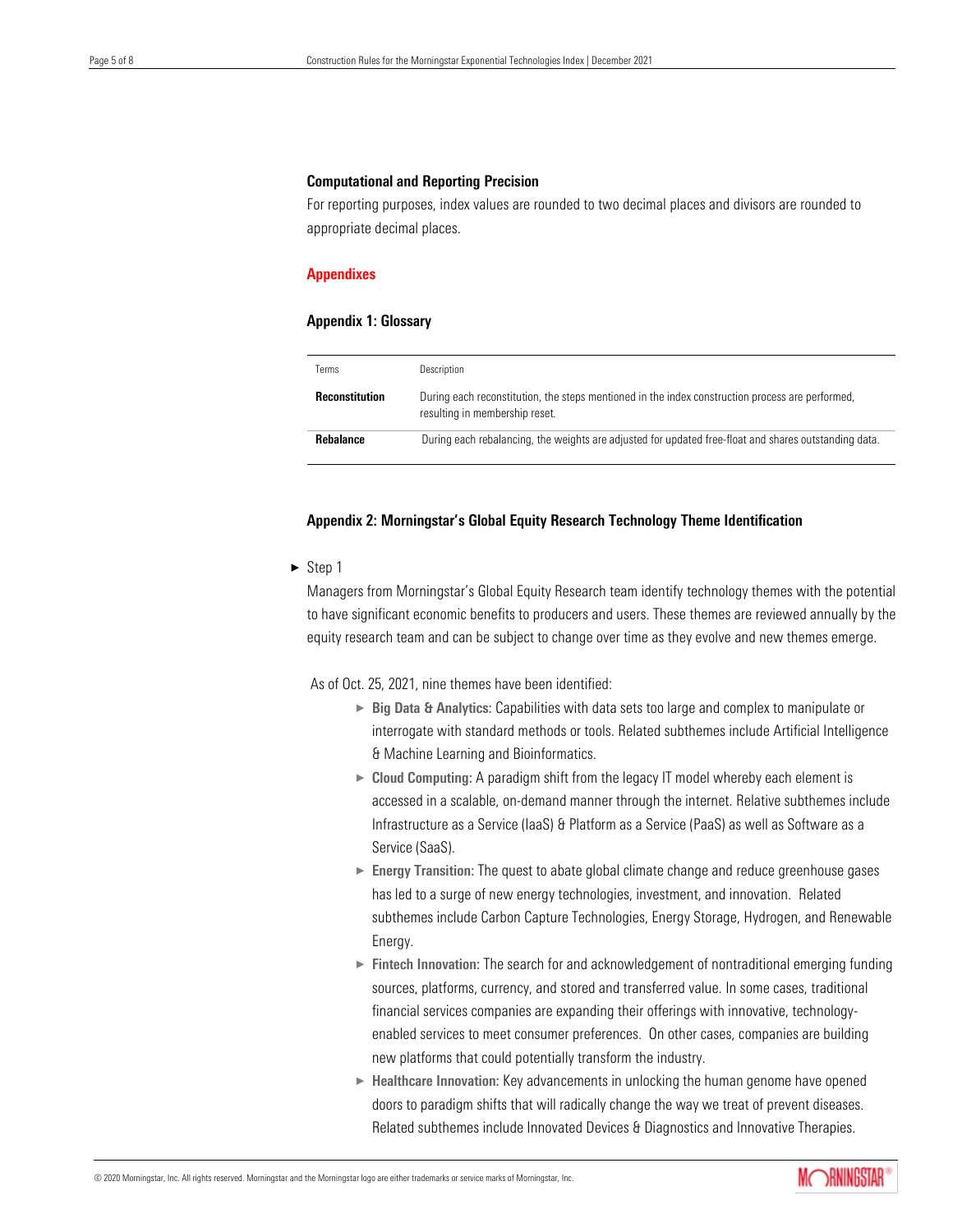#### Computational and Reporting Precision

For reporting purposes, index values are rounded to two decimal places and divisors are rounded to appropriate decimal places.

#### Appendixes

#### Appendix 1: Glossary

| Terms                 | Description                                                                                                                        |
|-----------------------|------------------------------------------------------------------------------------------------------------------------------------|
| <b>Reconstitution</b> | During each reconstitution, the steps mentioned in the index construction process are performed,<br>resulting in membership reset. |
| <b>Rebalance</b>      | During each rebalancing, the weights are adjusted for updated free-float and shares outstanding data.                              |

## Appendix 2: Morningstar's Global Equity Research Technology Theme Identification

 $\triangleright$  Step 1

Managers from Morningstar's Global Equity Research team identify technology themes with the potential to have significant economic benefits to producers and users. These themes are reviewed annually by the equity research team and can be subject to change over time as they evolve and new themes emerge.

As of Oct. 25, 2021, nine themes have been identified:

- ► Big Data & Analytics: Capabilities with data sets too large and complex to manipulate or interrogate with standard methods or tools. Related subthemes include Artificial Intelligence & Machine Learning and Bioinformatics.
- ► Cloud Computing: A paradigm shift from the legacy IT model whereby each element is accessed in a scalable, on-demand manner through the internet. Relative subthemes include Infrastructure as a Service (IaaS) & Platform as a Service (PaaS) as well as Software as a Service (SaaS).
- ► Energy Transition: The quest to abate global climate change and reduce greenhouse gases has led to a surge of new energy technologies, investment, and innovation. Related subthemes include Carbon Capture Technologies, Energy Storage, Hydrogen, and Renewable Energy.
- ► Fintech Innovation: The search for and acknowledgement of nontraditional emerging funding sources, platforms, currency, and stored and transferred value. In some cases, traditional financial services companies are expanding their offerings with innovative, technologyenabled services to meet consumer preferences. On other cases, companies are building new platforms that could potentially transform the industry.
- $\blacktriangleright$  Healthcare Innovation: Key advancements in unlocking the human genome have opened doors to paradigm shifts that will radically change the way we treat of prevent diseases. Related subthemes include Innovated Devices & Diagnostics and Innovative Therapies.

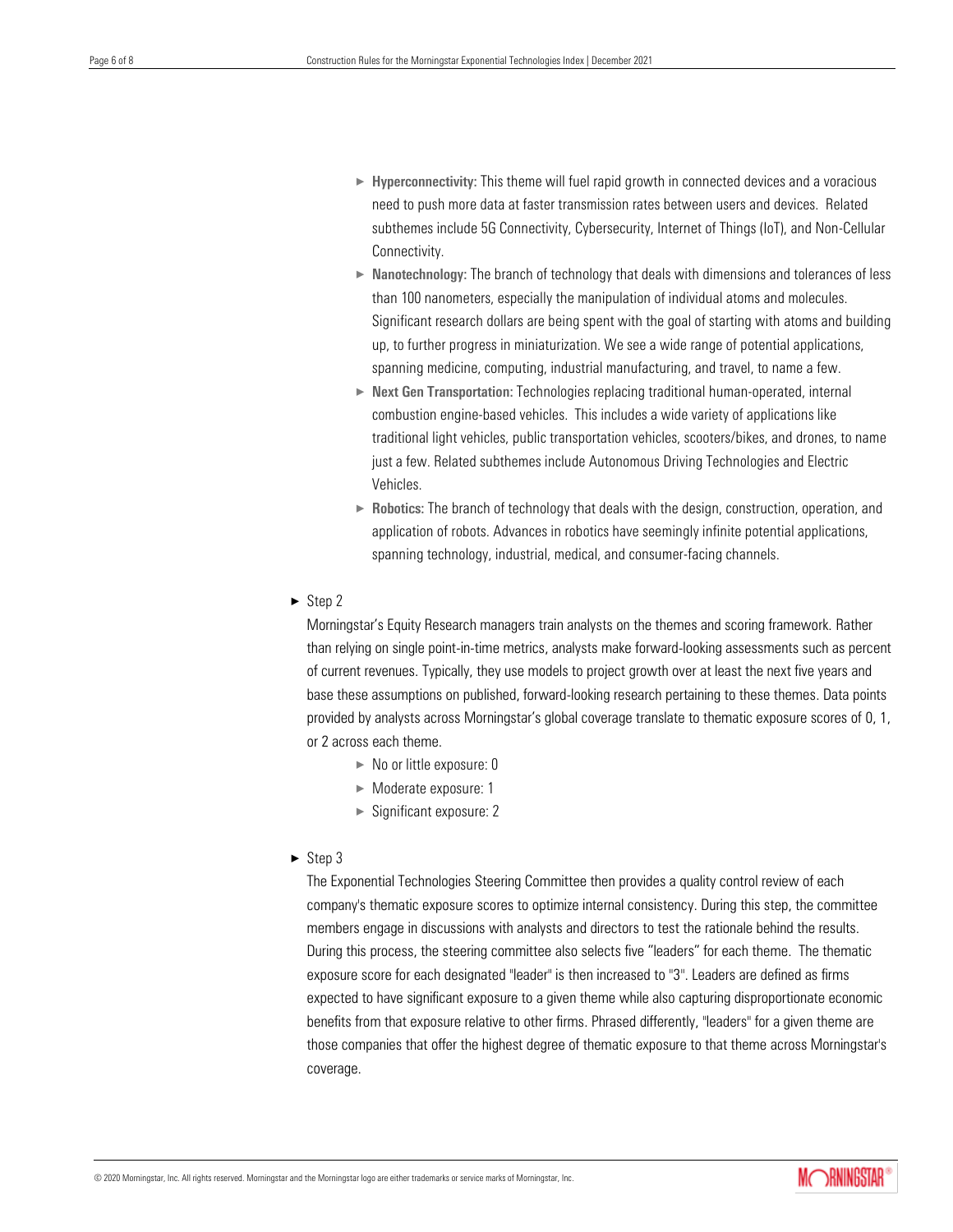- $\blacktriangleright$  Hyperconnectivity: This theme will fuel rapid growth in connected devices and a voracious need to push more data at faster transmission rates between users and devices. Related subthemes include 5G Connectivity, Cybersecurity, Internet of Things (IoT), and Non-Cellular Connectivity.
- $\triangleright$  Nanotechnology: The branch of technology that deals with dimensions and tolerances of less than 100 nanometers, especially the manipulation of individual atoms and molecules. Significant research dollars are being spent with the goal of starting with atoms and building up, to further progress in miniaturization. We see a wide range of potential applications, spanning medicine, computing, industrial manufacturing, and travel, to name a few.
- $\triangleright$  Next Gen Transportation: Technologies replacing traditional human-operated, internal combustion engine-based vehicles. This includes a wide variety of applications like traditional light vehicles, public transportation vehicles, scooters/bikes, and drones, to name just a few. Related subthemes include Autonomous Driving Technologies and Electric Vehicles.
- $\triangleright$  Robotics: The branch of technology that deals with the design, construction, operation, and application of robots. Advances in robotics have seemingly infinite potential applications, spanning technology, industrial, medical, and consumer-facing channels.
- $\blacktriangleright$  Step 2

Morningstar's Equity Research managers train analysts on the themes and scoring framework. Rather than relying on single point-in-time metrics, analysts make forward-looking assessments such as percent of current revenues. Typically, they use models to project growth over at least the next five years and base these assumptions on published, forward-looking research pertaining to these themes. Data points provided by analysts across Morningstar's global coverage translate to thematic exposure scores of 0, 1, or 2 across each theme.

- $\blacktriangleright$  No or little exposure: 0
- $\blacktriangleright$  Moderate exposure: 1
- $\blacktriangleright$  Significant exposure: 2
- $\blacktriangleright$  Step 3

The Exponential Technologies Steering Committee then provides a quality control review of each company's thematic exposure scores to optimize internal consistency. During this step, the committee members engage in discussions with analysts and directors to test the rationale behind the results. During this process, the steering committee also selects five "leaders" for each theme. The thematic exposure score for each designated "leader" is then increased to "3". Leaders are defined as firms expected to have significant exposure to a given theme while also capturing disproportionate economic benefits from that exposure relative to other firms. Phrased differently, "leaders" for a given theme are those companies that offer the highest degree of thematic exposure to that theme across Morningstar's coverage.

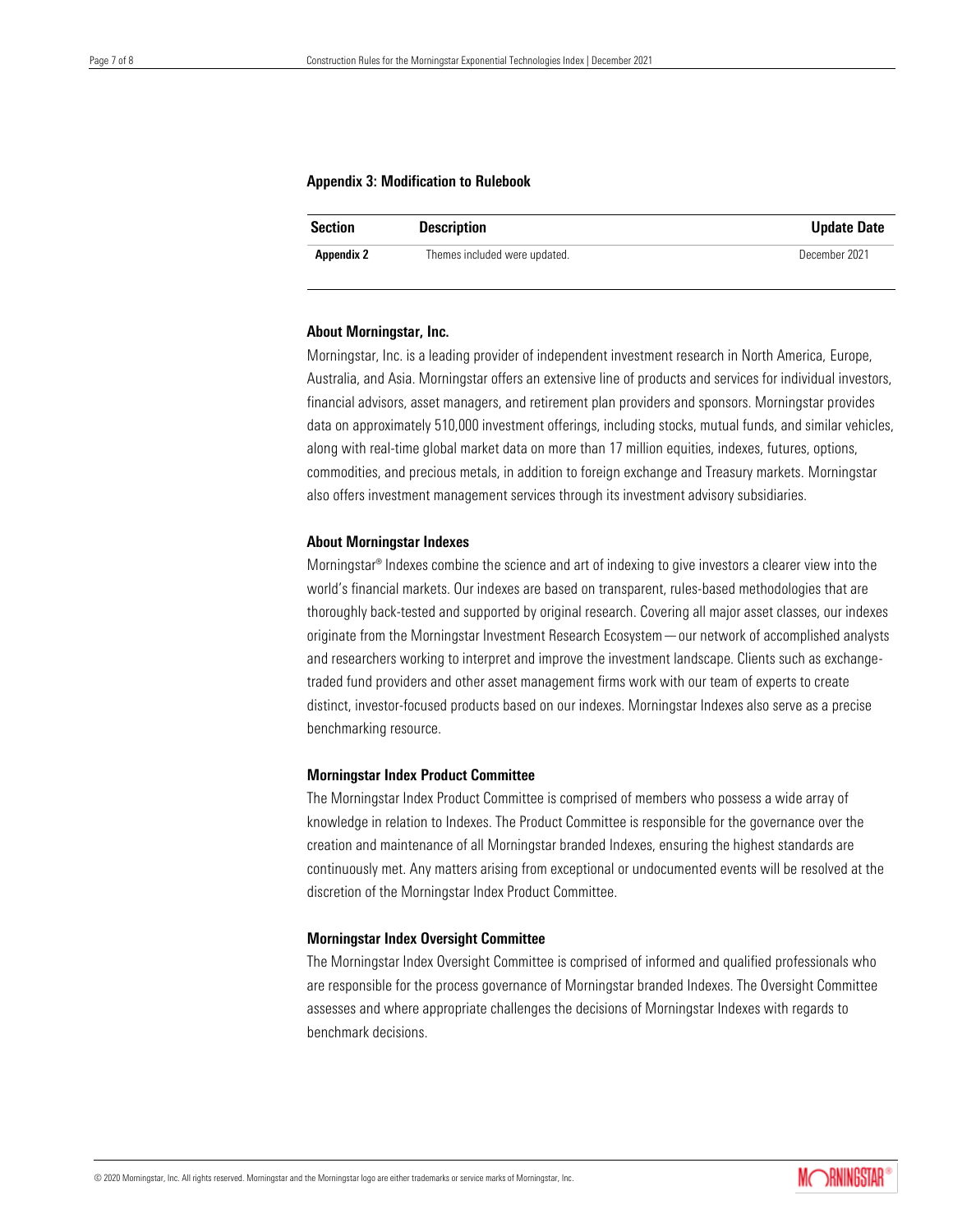#### Appendix 3: Modification to Rulebook

| <b>Section</b>    | <b>Description</b>            | <b>Update Date</b> |
|-------------------|-------------------------------|--------------------|
| <b>Appendix 2</b> | Themes included were updated. | December 2021      |

#### About Morningstar, Inc.

Morningstar, Inc. is a leading provider of independent investment research in North America, Europe, Australia, and Asia. Morningstar offers an extensive line of products and services for individual investors, financial advisors, asset managers, and retirement plan providers and sponsors. Morningstar provides data on approximately 510,000 investment offerings, including stocks, mutual funds, and similar vehicles, along with real-time global market data on more than 17 million equities, indexes, futures, options, commodities, and precious metals, in addition to foreign exchange and Treasury markets. Morningstar also offers investment management services through its investment advisory subsidiaries.

#### About Morningstar Indexes

Morningstar® Indexes combine the science and art of indexing to give investors a clearer view into the world's financial markets. Our indexes are based on transparent, rules-based methodologies that are thoroughly back-tested and supported by original research. Covering all major asset classes, our indexes originate from the Morningstar Investment Research Ecosystem—our network of accomplished analysts and researchers working to interpret and improve the investment landscape. Clients such as exchangetraded fund providers and other asset management firms work with our team of experts to create distinct, investor-focused products based on our indexes. Morningstar Indexes also serve as a precise benchmarking resource.

#### Morningstar Index Product Committee

The Morningstar Index Product Committee is comprised of members who possess a wide array of knowledge in relation to Indexes. The Product Committee is responsible for the governance over the creation and maintenance of all Morningstar branded Indexes, ensuring the highest standards are continuously met. Any matters arising from exceptional or undocumented events will be resolved at the discretion of the Morningstar Index Product Committee.

#### Morningstar Index Oversight Committee

The Morningstar Index Oversight Committee is comprised of informed and qualified professionals who are responsible for the process governance of Morningstar branded Indexes. The Oversight Committee assesses and where appropriate challenges the decisions of Morningstar Indexes with regards to benchmark decisions.